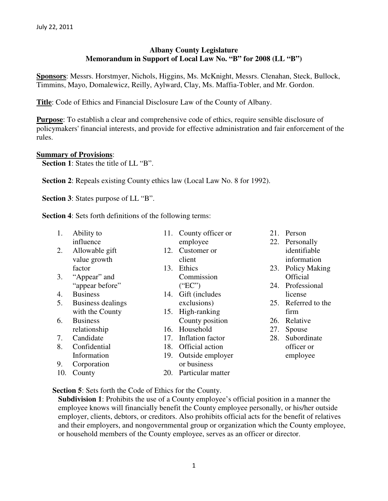# **Albany County Legislature Memorandum in Support of Local Law No. "B" for 2008 (LL "B")**

**Sponsors**: Messrs. Horstmyer, Nichols, Higgins, Ms. McKnight, Messrs. Clenahan, Steck, Bullock, Timmins, Mayo, Domalewicz, Reilly, Aylward, Clay, Ms. Maffia-Tobler, and Mr. Gordon.

**Title**: Code of Ethics and Financial Disclosure Law of the County of Albany.

**Purpose**: To establish a clear and comprehensive code of ethics, require sensible disclosure of policymakers' financial interests, and provide for effective administration and fair enforcement of the rules.

## **Summary of Provisions**:

**Section 1**: States the title of LL "B".

**Section 2**: Repeals existing County ethics law (Local Law No. 8 for 1992).

**Section 3**: States purpose of LL "B".

**Section 4**: Sets forth definitions of the following terms:

| 1.  | Ability to        | 11. | County officer or     | 21. | Person              |
|-----|-------------------|-----|-----------------------|-----|---------------------|
|     | influence         |     | employee              |     | 22. Personally      |
| 2.  | Allowable gift    | 12. | Customer or           |     | identifiable        |
|     | value growth      |     | client                |     | information         |
|     | factor            |     | 13. Ethics            | 23. | Policy Making       |
| 3.  | "Appear" and      |     | Commission            |     | <b>Official</b>     |
|     | "appear before"   |     | ("EC")                | 24. | Professional        |
| 4.  | <b>Business</b>   | 14. | Gift (includes        |     | license             |
| 5.  | Business dealings |     | exclusions)           |     | 25. Referred to the |
|     | with the County   | 15. | High-ranking          |     | firm                |
| 6.  | <b>Business</b>   |     | County position       | 26. | Relative            |
|     | relationship      |     | 16. Household         | 27. | Spouse              |
| 7.  | Candidate         | 17. | Inflation factor      | 28. | Subordinate         |
| 8.  | Confidential      | 18. | Official action       |     | officer or          |
|     | Information       | 19. | Outside employer      |     | employee            |
| 9.  | Corporation       |     | or business           |     |                     |
| 10. | County            |     | 20. Particular matter |     |                     |

#### **Section 5**: Sets forth the Code of Ethics for the County.

**Subdivision 1**: Prohibits the use of a County employee's official position in a manner the employee knows will financially benefit the County employee personally, or his/her outside employer, clients, debtors, or creditors. Also prohibits official acts for the benefit of relatives and their employers, and nongovernmental group or organization which the County employee, or household members of the County employee, serves as an officer or director.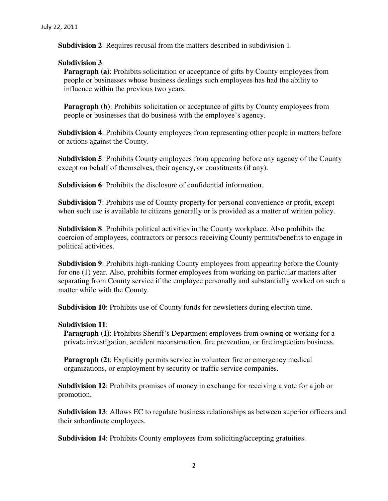**Subdivision 2**: Requires recusal from the matters described in subdivision 1.

## **Subdivision 3**:

**Paragraph (a)**: Prohibits solicitation or acceptance of gifts by County employees from people or businesses whose business dealings such employees has had the ability to influence within the previous two years.

**Paragraph (b)**: Prohibits solicitation or acceptance of gifts by County employees from people or businesses that do business with the employee's agency.

**Subdivision 4**: Prohibits County employees from representing other people in matters before or actions against the County.

**Subdivision 5**: Prohibits County employees from appearing before any agency of the County except on behalf of themselves, their agency, or constituents (if any).

**Subdivision 6**: Prohibits the disclosure of confidential information.

**Subdivision 7**: Prohibits use of County property for personal convenience or profit, except when such use is available to citizens generally or is provided as a matter of written policy.

**Subdivision 8**: Prohibits political activities in the County workplace. Also prohibits the coercion of employees, contractors or persons receiving County permits/benefits to engage in political activities.

**Subdivision 9**: Prohibits high-ranking County employees from appearing before the County for one (1) year. Also, prohibits former employees from working on particular matters after separating from County service if the employee personally and substantially worked on such a matter while with the County.

**Subdivision 10**: Prohibits use of County funds for newsletters during election time.

#### **Subdivision 11**:

**Paragraph (1): Prohibits Sheriff's Department employees from owning or working for a** private investigation, accident reconstruction, fire prevention, or fire inspection business.

**Paragraph (2):** Explicitly permits service in volunteer fire or emergency medical organizations, or employment by security or traffic service companies.

**Subdivision 12**: Prohibits promises of money in exchange for receiving a vote for a job or promotion.

**Subdivision 13**: Allows EC to regulate business relationships as between superior officers and their subordinate employees.

**Subdivision 14**: Prohibits County employees from soliciting/accepting gratuities.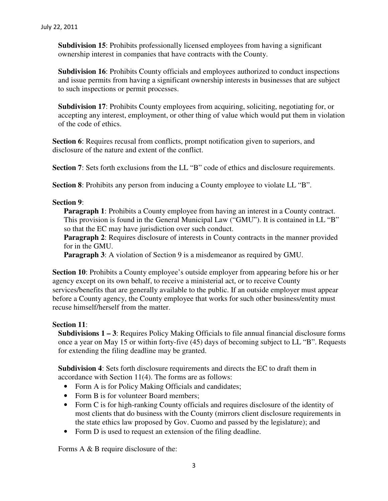**Subdivision 15**: Prohibits professionally licensed employees from having a significant ownership interest in companies that have contracts with the County.

**Subdivision 16**: Prohibits County officials and employees authorized to conduct inspections and issue permits from having a significant ownership interests in businesses that are subject to such inspections or permit processes.

**Subdivision 17**: Prohibits County employees from acquiring, soliciting, negotiating for, or accepting any interest, employment, or other thing of value which would put them in violation of the code of ethics.

**Section 6**: Requires recusal from conflicts, prompt notification given to superiors, and disclosure of the nature and extent of the conflict.

**Section 7:** Sets forth exclusions from the LL "B" code of ethics and disclosure requirements.

**Section 8:** Prohibits any person from inducing a County employee to violate LL "B".

## **Section 9**:

**Paragraph 1**: Prohibits a County employee from having an interest in a County contract. This provision is found in the General Municipal Law ("GMU"). It is contained in LL "B" so that the EC may have jurisdiction over such conduct.

**Paragraph 2:** Requires disclosure of interests in County contracts in the manner provided for in the GMU.

**Paragraph 3**: A violation of Section 9 is a misdemeanor as required by GMU.

**Section 10**: Prohibits a County employee's outside employer from appearing before his or her agency except on its own behalf, to receive a ministerial act, or to receive County services/benefits that are generally available to the public. If an outside employer must appear before a County agency, the County employee that works for such other business/entity must recuse himself/herself from the matter.

## **Section 11**:

**Subdivisions 1 – 3**: Requires Policy Making Officials to file annual financial disclosure forms once a year on May 15 or within forty-five (45) days of becoming subject to LL "B". Requests for extending the filing deadline may be granted.

**Subdivision 4**: Sets forth disclosure requirements and directs the EC to draft them in accordance with Section 11(4). The forms are as follows:

- Form A is for Policy Making Officials and candidates;
- Form B is for volunteer Board members;
- Form C is for high-ranking County officials and requires disclosure of the identity of most clients that do business with the County (mirrors client disclosure requirements in the state ethics law proposed by Gov. Cuomo and passed by the legislature); and
- Form D is used to request an extension of the filing deadline.

Forms A & B require disclosure of the: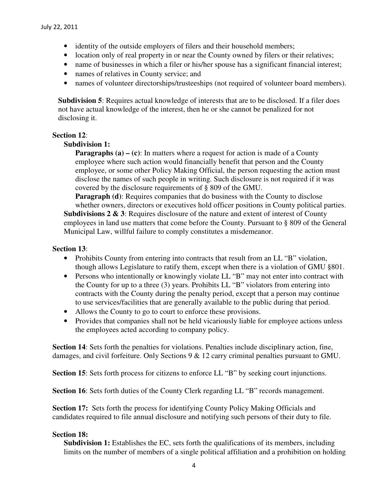- identity of the outside employers of filers and their household members;
- location only of real property in or near the County owned by filers or their relatives;
- name of businesses in which a filer or his/her spouse has a significant financial interest;
- names of relatives in County service; and
- names of volunteer directorships/trusteeships (not required of volunteer board members).

**Subdivision 5**: Requires actual knowledge of interests that are to be disclosed. If a filer does not have actual knowledge of the interest, then he or she cannot be penalized for not disclosing it.

## **Section 12**:

## **Subdivision 1:**

**Paragraphs (a) – (c):** In matters where a request for action is made of a County employee where such action would financially benefit that person and the County employee, or some other Policy Making Official, the person requesting the action must disclose the names of such people in writing. Such disclosure is not required if it was covered by the disclosure requirements of § 809 of the GMU.

**Paragraph (d)**: Requires companies that do business with the County to disclose whether owners, directors or executives hold officer positions in County political parties. **Subdivisions 2 & 3**: Requires disclosure of the nature and extent of interest of County employees in land use matters that come before the County. Pursuant to § 809 of the General Municipal Law, willful failure to comply constitutes a misdemeanor.

## **Section 13**:

- Prohibits County from entering into contracts that result from an LL "B" violation, though allows Legislature to ratify them, except when there is a violation of GMU §801.
- Persons who intentionally or knowingly violate LL "B" may not enter into contract with the County for up to a three (3) years. Prohibits LL "B" violators from entering into contracts with the County during the penalty period, except that a person may continue to use services/facilities that are generally available to the public during that period.
- Allows the County to go to court to enforce these provisions.
- Provides that companies shall not be held vicariously liable for employee actions unless the employees acted according to company policy.

**Section 14**: Sets forth the penalties for violations. Penalties include disciplinary action, fine, damages, and civil forfeiture. Only Sections 9 & 12 carry criminal penalties pursuant to GMU.

**Section 15**: Sets forth process for citizens to enforce LL "B" by seeking court injunctions.

**Section 16:** Sets forth duties of the County Clerk regarding LL "B" records management.

**Section 17:** Sets forth the process for identifying County Policy Making Officials and candidates required to file annual disclosure and notifying such persons of their duty to file.

## **Section 18:**

**Subdivision 1:** Establishes the EC, sets forth the qualifications of its members, including limits on the number of members of a single political affiliation and a prohibition on holding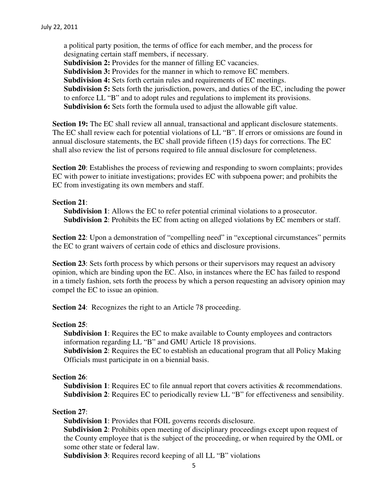a political party position, the terms of office for each member, and the process for designating certain staff members, if necessary. **Subdivision 2:** Provides for the manner of filling EC vacancies. **Subdivision 3:** Provides for the manner in which to remove EC members. **Subdivision 4:** Sets forth certain rules and requirements of EC meetings. **Subdivision 5:** Sets forth the jurisdiction, powers, and duties of the EC, including the power to enforce LL "B" and to adopt rules and regulations to implement its provisions. **Subdivision 6:** Sets forth the formula used to adjust the allowable gift value.

**Section 19:** The EC shall review all annual, transactional and applicant disclosure statements. The EC shall review each for potential violations of LL "B". If errors or omissions are found in annual disclosure statements, the EC shall provide fifteen (15) days for corrections. The EC shall also review the list of persons required to file annual disclosure for completeness.

**Section 20**: Establishes the process of reviewing and responding to sworn complaints; provides EC with power to initiate investigations; provides EC with subpoena power; and prohibits the EC from investigating its own members and staff.

## **Section 21**:

**Subdivision 1:** Allows the EC to refer potential criminal violations to a prosecutor. **Subdivision 2**: Prohibits the EC from acting on alleged violations by EC members or staff.

**Section 22:** Upon a demonstration of "compelling need" in "exceptional circumstances" permits the EC to grant waivers of certain code of ethics and disclosure provisions.

**Section 23**: Sets forth process by which persons or their supervisors may request an advisory opinion, which are binding upon the EC. Also, in instances where the EC has failed to respond in a timely fashion, sets forth the process by which a person requesting an advisory opinion may compel the EC to issue an opinion.

**Section 24**: Recognizes the right to an Article 78 proceeding.

#### **Section 25**:

**Subdivision 1**: Requires the EC to make available to County employees and contractors information regarding LL "B" and GMU Article 18 provisions.

**Subdivision 2**: Requires the EC to establish an educational program that all Policy Making Officials must participate in on a biennial basis.

#### **Section 26**:

**Subdivision 1:** Requires EC to file annual report that covers activities & recommendations. **Subdivision 2**: Requires EC to periodically review LL "B" for effectiveness and sensibility.

#### **Section 27**:

**Subdivision 1**: Provides that FOIL governs records disclosure.

**Subdivision 2**: Prohibits open meeting of disciplinary proceedings except upon request of the County employee that is the subject of the proceeding, or when required by the OML or some other state or federal law.

**Subdivision 3**: Requires record keeping of all LL "B" violations